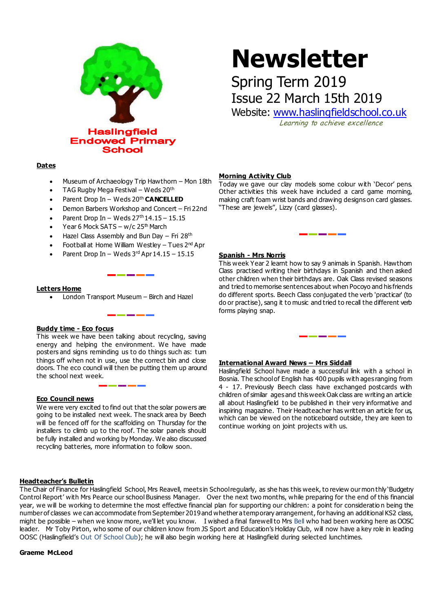

# **Newsletter**

## Spring Term 2019 Issue 22 March 15th 2019

Website: [www.haslingfieldschool.co.uk](http://www.haslingfieldschool.co.uk/)

Learning to achieve excellence

#### **Dates**

- Museum of Archaeology Trip Hawthorn Mon 18th
- TAG Rugby Mega Festival Weds 20th
- Parent Drop In Weds 20th **CANCELLED**
- Demon Barbers Workshop and Concert Fri 22nd
- Parent Drop In Weds  $27<sup>th</sup> 14.15 15.15$
- Year 6 Mock SATS w/c 25<sup>th</sup> March
- Hazel Class Assembly and Bun Day Fri 28<sup>th</sup>
- Football at Home William Westley Tues 2<sup>nd</sup> Apr

<u>and and and an</u>

• Parent Drop In – Weds  $3<sup>rd</sup>$  Apr  $14.15 - 15.15$ 

#### **Letters Home**

London Transport Museum – Birch and Hazel

#### **Buddy time - Eco focus**

This week we have been talking about recycling, saving energy and helping the environment. We have made posters and signs reminding us to do things such as: tum things off when not in use, use the correct bin and close doors. The eco council will then be putting them up around the school next week.

#### **Eco Council news**

We were very excited to find out that the solar powers are going to be installed next week. The snack area by Beech will be fenced off for the scaffolding on Thursday for the installers to climb up to the roof. The solar panels should be fully installed and working by Monday. We also discussed recycling batteries, more information to follow soon.

#### **Headteacher's Bulletin**

**Morning Activity Club**

Today we gave our clay models some colour with 'Decor' pens. Other activities this week have included a card game morning, making craft foam wrist bands and drawing designs on card glasses. "These are jewels", Lizzy (card glasses).

#### **Spanish - Mrs Norris**

This week Year 2 learnt how to say 9 animals in Spanish. Hawthorn Class practised writing their birthdays in Spanish and then asked other children when their birthdays are. Oak Class revised seasons and tried to memorise sentences about when Pocoyo and his friends do different sports. Beech Class conjugated the verb 'practicar' (to do or practise), sang it to music and tried to recall the different verb forms playing snap.

#### **International Award News – Mrs Siddall**

Haslingfield School have made a successful link with a school in Bosnia. The school of English has 400 pupils with ages ranging from 4 - 17. Previously Beech class have exchanged postcards with children of similar ages and this week Oak class are writing an article all about Haslingfield to be published in their very informative and inspiring magazine. Their Headteacher has written an article for us, which can be viewed on the noticeboard outside, they are keen to continue working on joint projects with us.

The Chair of Finance for Haslingfield School, Mrs Reavell, meets in School regularly, as she has this week, to review our mon thly 'Budgetry Control Report' with Mrs Pearce our school Business Manager. Over the next two months, while preparing for the end of this financial year, we will be working to determine the most effective financial plan for supporting our children: a point for consideratio n being the number of classes we can accommodate from September 2019 and whether a temporary arrangement, for having an additional KS2 class, might be possible – when we know more, we'll let you know. I wished a final farewell to Mrs Bell who had been working here as OOSC leader. Mr Toby Pirton, who some of our children know from JS Sport and Education's Holiday Club, will now have a key role in leading OOSC (Haslingfield's Out Of School Club); he will also begin working here at Haslingfield during selected lunchtimes.

**Graeme McLeod**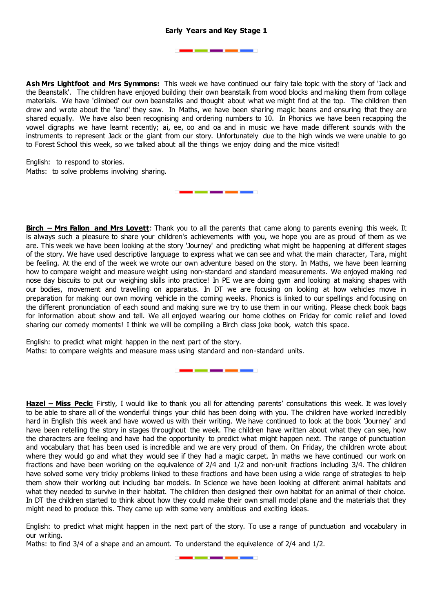### **Early Years and Key Stage 1**

---

--

**Ash Mrs Lightfoot and Mrs Symmons:** This week we have continued our fairy tale topic with the story of 'Jack and the Beanstalk'. The children have enjoyed building their own beanstalk from wood blocks and making them from collage materials. We have 'climbed' our own beanstalks and thought about what we might find at the top. The children then drew and wrote about the 'land' they saw. In Maths, we have been sharing magic beans and ensuring that they are shared equally. We have also been recognising and ordering numbers to 10. In Phonics we have been recapping the vowel digraphs we have learnt recently; ai, ee, oo and oa and in music we have made different sounds with the instruments to represent Jack or the giant from our story. Unfortunately due to the high winds we were unable to go to Forest School this week, so we talked about all the things we enjoy doing and the mice visited!

\_\_\_\_\_\_

English: to respond to stories. Maths: to solve problems involving sharing.

**Birch – Mrs Fallon and Mrs Lovett**: Thank you to all the parents that came along to parents evening this week. It is always such a pleasure to share your children's achievements with you, we hope you are as proud of them as we are. This week we have been looking at the story 'Journey' and predicting what might be happening at different stages of the story. We have used descriptive language to express what we can see and what the main character, Tara, might be feeling. At the end of the week we wrote our own adventure based on the story. In Maths, we have been learning how to compare weight and measure weight using non-standard and standard measurements. We enjoyed making red nose day biscuits to put our weighing skills into practice! In PE we are doing gym and looking at making shapes with our bodies, movement and travelling on apparatus. In DT we are focusing on looking at how vehicles move in preparation for making our own moving vehicle in the coming weeks. Phonics is linked to our spellings and focusing on the different pronunciation of each sound and making sure we try to use them in our writing. Please check book bags for information about show and tell. We all enjoyed wearing our home clothes on Friday for comic relief and loved sharing our comedy moments! I think we will be compiling a Birch class joke book, watch this space.

English: to predict what might happen in the next part of the story. Maths: to compare weights and measure mass using standard and non-standard units.

**Hazel – Miss Peck:** Firstly, I would like to thank you all for attending parents' consultations this week. It was lovely to be able to share all of the wonderful things your child has been doing with you. The children have worked incredibly hard in English this week and have wowed us with their writing. We have continued to look at the book 'Journey' and have been retelling the story in stages throughout the week. The children have written about what they can see, how the characters are feeling and have had the opportunity to predict what might happen next. The range of punctuation and vocabulary that has been used is incredible and we are very proud of them. On Friday, the children wrote about where they would go and what they would see if they had a magic carpet. In maths we have continued our work on fractions and have been working on the equivalence of 2/4 and 1/2 and non-unit fractions including 3/4. The children have solved some very tricky problems linked to these fractions and have been using a wide range of strategies to help them show their working out including bar models. In Science we have been looking at different animal habitats and what they needed to survive in their habitat. The children then designed their own habitat for an animal of their choice. In DT the children started to think about how they could make their own small model plane and the materials that they might need to produce this. They came up with some very ambitious and exciting ideas.

----

English: to predict what might happen in the next part of the story. To use a range of punctuation and vocabulary in our writing.

Maths: to find 3/4 of a shape and an amount. To understand the equivalence of 2/4 and 1/2.